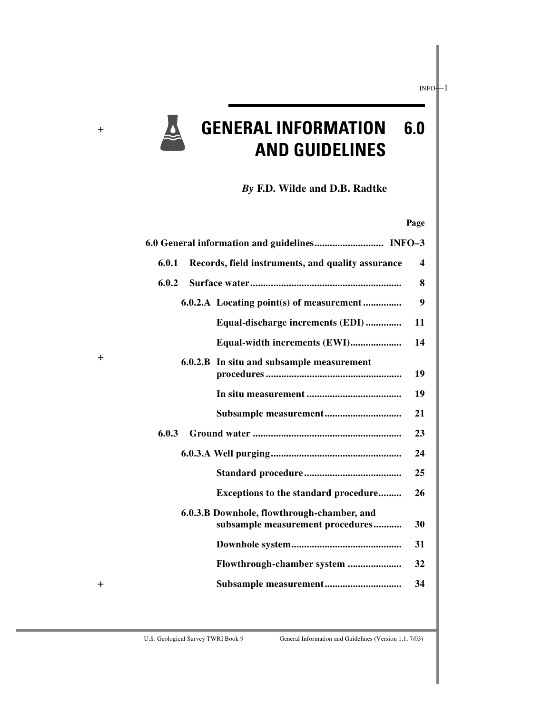

+

+

+

# **GENERAL INFORMATION 6.0 AND GUIDELINES**

*By* **F.D. Wilde and D.B. Radtke**

#### **Page**

| 6.0.1<br>Records, field instruments, and quality assurance                     | $\overline{\mathbf{4}}$ |
|--------------------------------------------------------------------------------|-------------------------|
| 6.0.2                                                                          | 8                       |
| 6.0.2.A Locating point(s) of measurement                                       | 9                       |
| Equal-discharge increments (EDI)                                               | 11                      |
| Equal-width increments (EWI)                                                   | 14                      |
| 6.0.2.B In situ and subsample measurement                                      | 19                      |
|                                                                                | 19                      |
|                                                                                | 21                      |
| 6.0.3                                                                          | 23                      |
|                                                                                | 24                      |
|                                                                                | 25                      |
| Exceptions to the standard procedure                                           | 26                      |
| 6.0.3.B Downhole, flowthrough-chamber, and<br>subsample measurement procedures | 30                      |
|                                                                                | 31                      |
|                                                                                | 32                      |
|                                                                                | 34                      |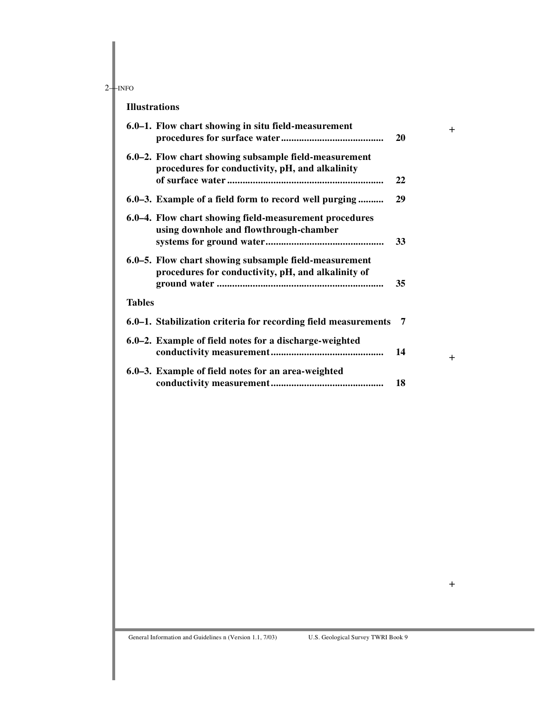#### **Illustrations**

|               | 6.0–1. Flow chart showing in situ field-measurement                                                         | 20 |
|---------------|-------------------------------------------------------------------------------------------------------------|----|
|               | 6.0–2. Flow chart showing subsample field-measurement<br>procedures for conductivity, pH, and alkalinity    | 22 |
|               | 6.0–3. Example of a field form to record well purging                                                       | 29 |
|               | 6.0–4. Flow chart showing field-measurement procedures<br>using downhole and flowthrough-chamber            | 33 |
|               | 6.0–5. Flow chart showing subsample field-measurement<br>procedures for conductivity, pH, and alkalinity of | 35 |
| <b>Tables</b> |                                                                                                             |    |
|               | 6.0–1. Stabilization criteria for recording field measurements                                              | 7  |
|               | 6.0–2. Example of field notes for a discharge-weighted                                                      | 14 |
|               | 6.0–3. Example of field notes for an area-weighted                                                          | 18 |

+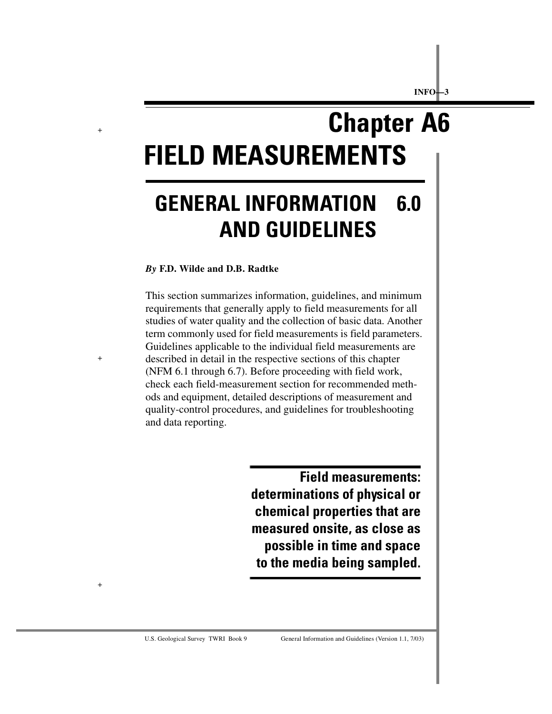# **Chapter A6 FIELD MEASUREMENTS**

# **GENERAL INFORMATION 6.0 AND GUIDELINES**

#### *By* **F.D. Wilde and D.B. Radtke**

+

+

+

This section summarizes information, guidelines, and minimum requirements that generally apply to field measurements for all studies of water quality and the collection of basic data. Another term commonly used for field measurements is field parameters. Guidelines applicable to the individual field measurements are described in detail in the respective sections of this chapter (NFM 6.1 through 6.7). Before proceeding with field work, check each field-measurement section for recommended methods and equipment, detailed descriptions of measurement and quality-control procedures, and guidelines for troubleshooting and data reporting.

> **Field measurements: determinations of physical or chemical properties that are measured onsite, as close as possible in time and space to the media being sampled.**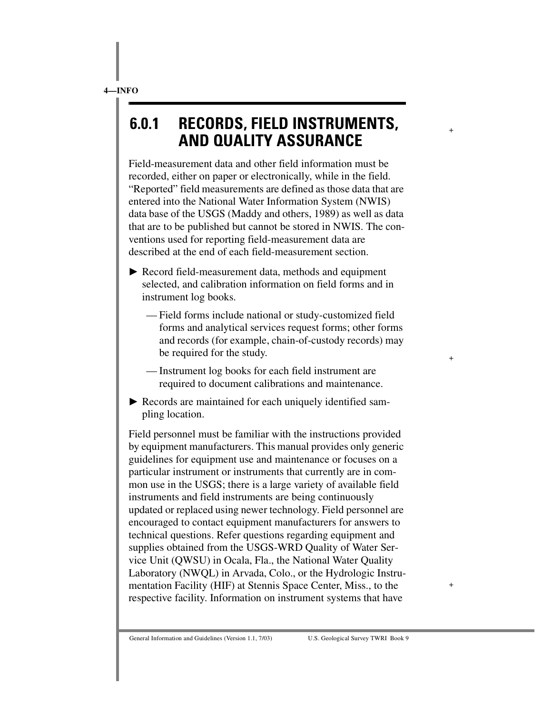# **6.0.1 RECORDS, FIELD INSTRUMENTS, AND QUALITY ASSURANCE**

+

+

+

Field-measurement data and other field information must be recorded, either on paper or electronically, while in the field. "Reported" field measurements are defined as those data that are entered into the National Water Information System (NWIS) data base of the USGS (Maddy and others, 1989) as well as data that are to be published but cannot be stored in NWIS. The conventions used for reporting field-measurement data are described at the end of each field-measurement section.

- ▶ Record field-measurement data, methods and equipment selected, and calibration information on field forms and in instrument log books.
	- Field forms include national or study-customized field forms and analytical services request forms; other forms and records (for example, chain-of-custody records) may be required for the study.
	- Instrument log books for each field instrument are required to document calibrations and maintenance.
- Records are maintained for each uniquely identified sampling location.

Field personnel must be familiar with the instructions provided by equipment manufacturers. This manual provides only generic guidelines for equipment use and maintenance or focuses on a particular instrument or instruments that currently are in common use in the USGS; there is a large variety of available field instruments and field instruments are being continuously updated or replaced using newer technology. Field personnel are encouraged to contact equipment manufacturers for answers to technical questions. Refer questions regarding equipment and supplies obtained from the USGS-WRD Quality of Water Service Unit (QWSU) in Ocala, Fla., the National Water Quality Laboratory (NWQL) in Arvada, Colo., or the Hydrologic Instrumentation Facility (HIF) at Stennis Space Center, Miss., to the respective facility. Information on instrument systems that have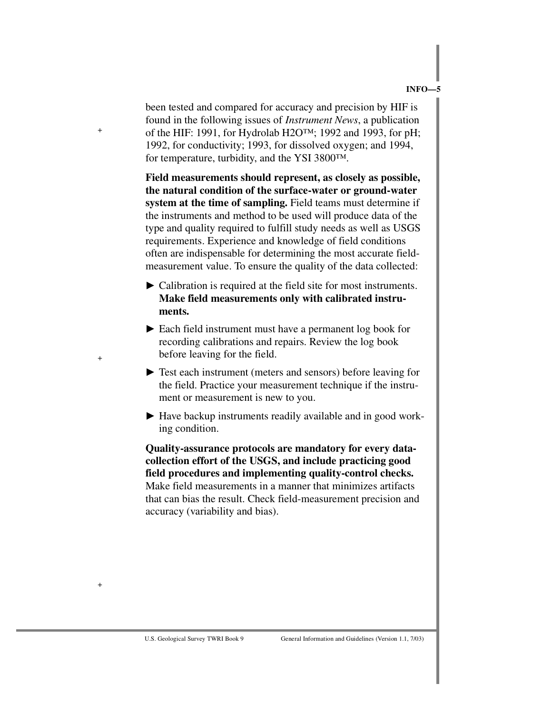been tested and compared for accuracy and precision by HIF is found in the following issues of *Instrument News*, a publication of the HIF: 1991, for Hydrolab H2O™; 1992 and 1993, for pH; 1992, for conductivity; 1993, for dissolved oxygen; and 1994, for temperature, turbidity, and the YSI 3800™.

+

+

+

**Field measurements should represent, as closely as possible, the natural condition of the surface-water or ground-water system at the time of sampling.** Field teams must determine if the instruments and method to be used will produce data of the type and quality required to fulfill study needs as well as USGS requirements. Experience and knowledge of field conditions often are indispensable for determining the most accurate fieldmeasurement value. To ensure the quality of the data collected:

- $\blacktriangleright$  Calibration is required at the field site for most instruments. **Make field measurements only with calibrated instruments.**
- Each field instrument must have a permanent log book for recording calibrations and repairs. Review the log book before leaving for the field.
- $\triangleright$  Test each instrument (meters and sensors) before leaving for the field. Practice your measurement technique if the instrument or measurement is new to you.
- Have backup instruments readily available and in good working condition.

**Quality-assurance protocols are mandatory for every datacollection effort of the USGS, and include practicing good field procedures and implementing quality-control checks.** Make field measurements in a manner that minimizes artifacts that can bias the result. Check field-measurement precision and accuracy (variability and bias).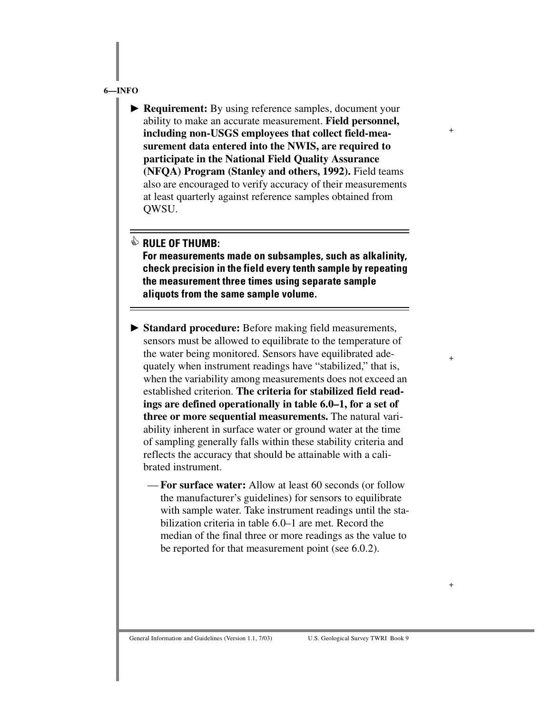▶ **Requirement:** By using reference samples, document your ability to make an accurate measurement. **Field personnel, including non-USGS employees that collect field-measurement data entered into the NWIS, are required to participate in the National Field Quality Assurance (NFQA) Program (Stanley and others, 1992).** Field teams also are encouraged to verify accuracy of their measurements at least quarterly against reference samples obtained from QWSU.

+

+

+

### *S* RULE OF THUMB:

**For measurements made on subsamples, such as alkalinity, check precision in the field every tenth sample by repeating the measurement three times using separate sample aliquots from the same sample volume.**

- **Standard procedure:** Before making field measurements, sensors must be allowed to equilibrate to the temperature of the water being monitored. Sensors have equilibrated adequately when instrument readings have "stabilized," that is, when the variability among measurements does not exceed an established criterion. **The criteria for stabilized field readings are defined operationally in table 6.0–1, for a set of three or more sequential measurements.** The natural variability inherent in surface water or ground water at the time of sampling generally falls within these stability criteria and reflects the accuracy that should be attainable with a calibrated instrument.
	- **For surface water:** Allow at least 60 seconds (or follow the manufacturer's guidelines) for sensors to equilibrate with sample water. Take instrument readings until the stabilization criteria in table 6.0–1 are met. Record the median of the final three or more readings as the value to be reported for that measurement point (see 6.0.2).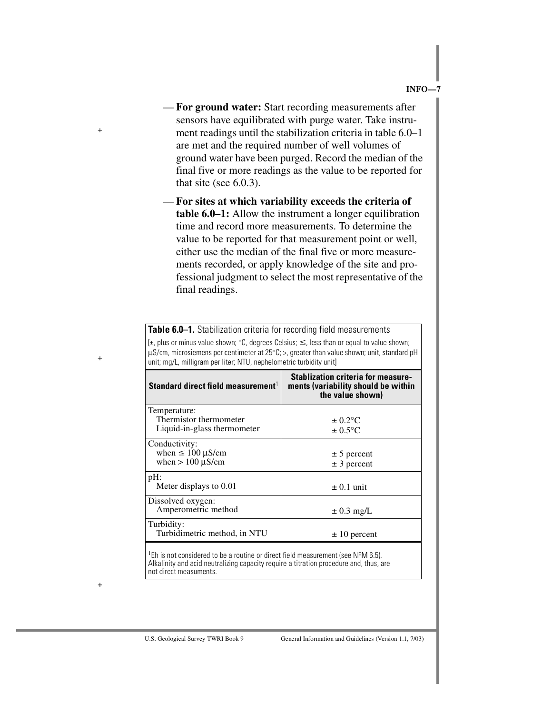- **For ground water:** Start recording measurements after sensors have equilibrated with purge water. Take instrument readings until the stabilization criteria in table 6.0–1 are met and the required number of well volumes of ground water have been purged. Record the median of the final five or more readings as the value to be reported for that site (see 6.0.3).
- **For sites at which variability exceeds the criteria of table 6.0–1:** Allow the instrument a longer equilibration time and record more measurements. To determine the value to be reported for that measurement point or well, either use the median of the final five or more measurements recorded, or apply knowledge of the site and professional judgment to select the most representative of the final readings.

**Table 6.0–1.** Stabilization criteria for recording field measurements [ $\pm$ , plus or minus value shown; °C, degrees Celsius;  $\leq$ , less than or equal to value shown; µS/cm, microsiemens per centimeter at 25°C; >, greater than value shown; unit, standard pH unit; mg/L, milligram per liter; NTU, nephelometric turbidity unit]

| Standard direct field measurement                                                                                          | <b>Stablization criteria for measure-</b><br>ments (variability should be within<br>the value shown) |  |  |  |  |
|----------------------------------------------------------------------------------------------------------------------------|------------------------------------------------------------------------------------------------------|--|--|--|--|
| Temperature:<br>Thermistor thermometer<br>Liquid-in-glass thermometer                                                      | $\pm 0.2$ °C<br>$\pm 0.5$ °C                                                                         |  |  |  |  |
| Conductivity:<br>when $\leq 100 \mu$ S/cm<br>when $> 100 \mu$ S/cm                                                         | $\pm$ 5 percent<br>$± 3$ percent                                                                     |  |  |  |  |
| pH:<br>Meter displays to 0.01                                                                                              | $\pm$ 0.1 unit                                                                                       |  |  |  |  |
| Dissolved oxygen:<br>Amperometric method                                                                                   | $\pm$ 0.3 mg/L                                                                                       |  |  |  |  |
| Turbidity:<br>Turbidimetric method, in NTU                                                                                 | $\pm 10$ percent                                                                                     |  |  |  |  |
| $1 - i$<br>the contract of the contract of the contract of the contract of the contract of the contract of the contract of |                                                                                                      |  |  |  |  |

 $^1$ Eh is not considered to be a routine or direct field measurement (see NFM 6.5). Alkalinity and acid neutralizing capacity require a titration procedure and, thus, are not direct measuments.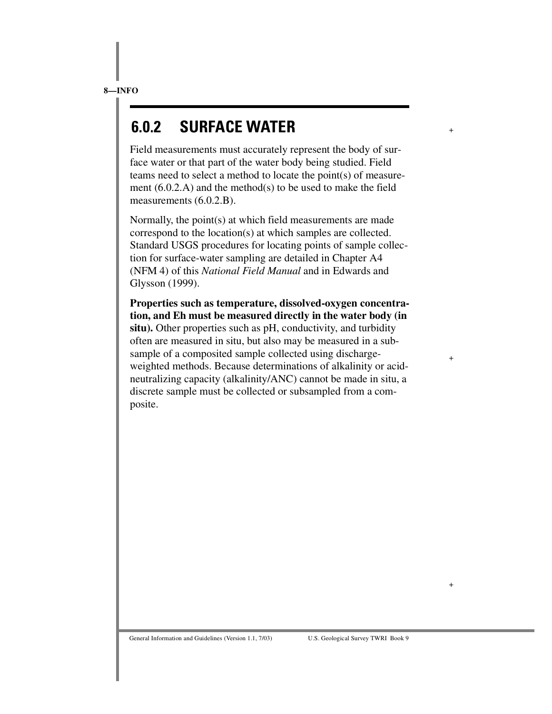# **6.0.2 SURFACE WATER**

Field measurements must accurately represent the body of surface water or that part of the water body being studied. Field teams need to select a method to locate the point(s) of measurement (6.0.2.A) and the method(s) to be used to make the field measurements (6.0.2.B).

+

+

+

Normally, the point(s) at which field measurements are made correspond to the location(s) at which samples are collected. Standard USGS procedures for locating points of sample collection for surface-water sampling are detailed in Chapter A4 (NFM 4) of this *National Field Manual* and in Edwards and Glysson (1999).

**Properties such as temperature, dissolved-oxygen concentration, and Eh must be measured directly in the water body (in situ).** Other properties such as pH, conductivity, and turbidity often are measured in situ, but also may be measured in a subsample of a composited sample collected using dischargeweighted methods. Because determinations of alkalinity or acidneutralizing capacity (alkalinity/ANC) cannot be made in situ, a discrete sample must be collected or subsampled from a composite.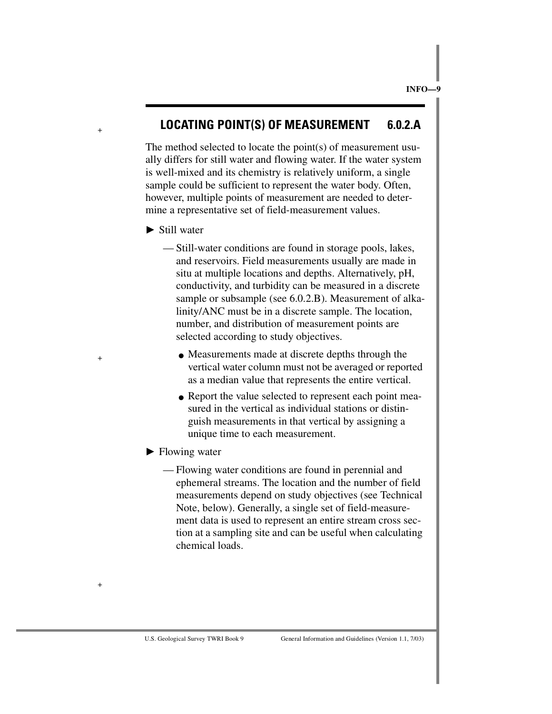## **LOCATING POINT(S) OF MEASUREMENT 6.0.2.A**

The method selected to locate the point(s) of measurement usually differs for still water and flowing water. If the water system is well-mixed and its chemistry is relatively uniform, a single sample could be sufficient to represent the water body. Often, however, multiple points of measurement are needed to determine a representative set of field-measurement values.

 $\blacktriangleright$  Still water

+

+

+

— Still-water conditions are found in storage pools, lakes, and reservoirs. Field measurements usually are made in situ at multiple locations and depths. Alternatively, pH, conductivity, and turbidity can be measured in a discrete sample or subsample (see 6.0.2.B). Measurement of alkalinity/ANC must be in a discrete sample. The location, number, and distribution of measurement points are selected according to study objectives.

- Measurements made at discrete depths through the vertical water column must not be averaged or reported as a median value that represents the entire vertical.
- Report the value selected to represent each point measured in the vertical as individual stations or distinguish measurements in that vertical by assigning a unique time to each measurement.
- $\blacktriangleright$  Flowing water
	- Flowing water conditions are found in perennial and ephemeral streams. The location and the number of field measurements depend on study objectives (see Technical Note, below). Generally, a single set of field-measurement data is used to represent an entire stream cross section at a sampling site and can be useful when calculating chemical loads.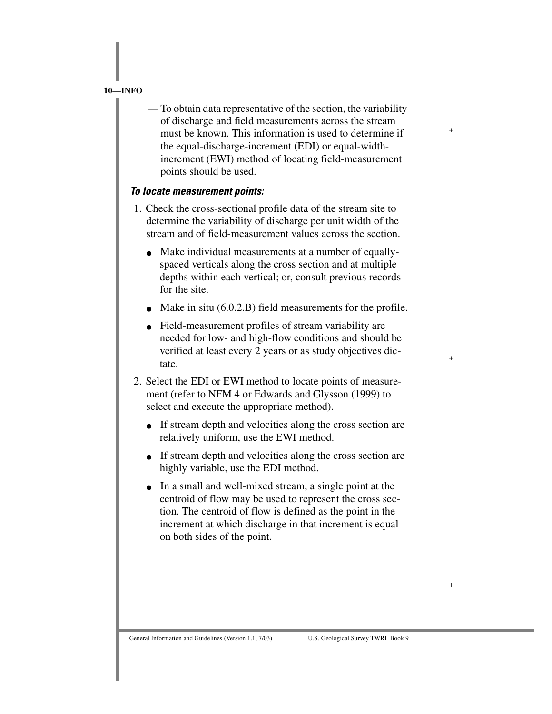— To obtain data representative of the section, the variability of discharge and field measurements across the stream must be known. This information is used to determine if the equal-discharge-increment (EDI) or equal-widthincrement (EWI) method of locating field-measurement points should be used.

+

+

+

#### *To locate measurement points:*

- 1. Check the cross-sectional profile data of the stream site to determine the variability of discharge per unit width of the stream and of field-measurement values across the section.
	- Make individual measurements at a number of equallyspaced verticals along the cross section and at multiple depths within each vertical; or, consult previous records for the site.
	- Make in situ  $(6.0.2.B)$  field measurements for the profile.
	- Field-measurement profiles of stream variability are needed for low- and high-flow conditions and should be verified at least every 2 years or as study objectives dictate.
- 2. Select the EDI or EWI method to locate points of measurement (refer to NFM 4 or Edwards and Glysson (1999) to select and execute the appropriate method).
	- If stream depth and velocities along the cross section are relatively uniform, use the EWI method.
	- If stream depth and velocities along the cross section are highly variable, use the EDI method.
	- In a small and well-mixed stream, a single point at the centroid of flow may be used to represent the cross section. The centroid of flow is defined as the point in the increment at which discharge in that increment is equal on both sides of the point.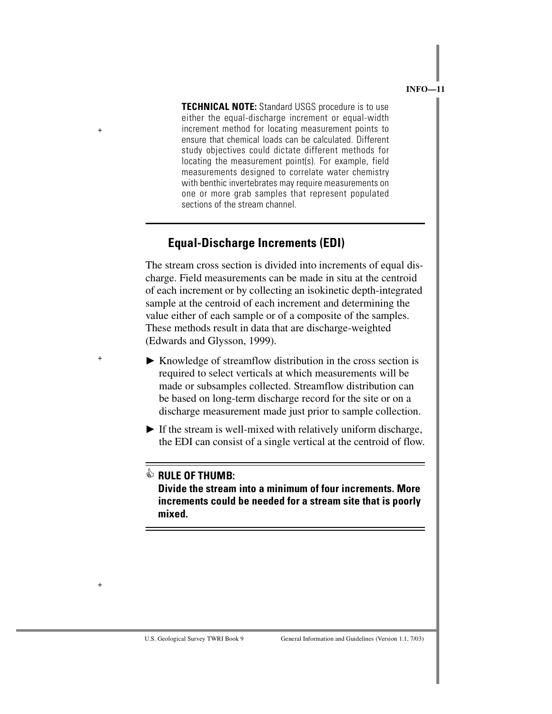**TECHNICAL NOTE:** Standard USGS procedure is to use either the equal-discharge increment or equal-width increment method for locating measurement points to ensure that chemical loads can be calculated. Different study objectives could dictate different methods for locating the measurement point(s). For example, field measurements designed to correlate water chemistry with benthic invertebrates may require measurements on one or more grab samples that represent populated sections of the stream channel.

## **Equal-Discharge Increments (EDI)**

The stream cross section is divided into increments of equal discharge. Field measurements can be made in situ at the centroid of each increment or by collecting an isokinetic depth-integrated sample at the centroid of each increment and determining the value either of each sample or of a composite of the samples. These methods result in data that are discharge-weighted (Edwards and Glysson, 1999).

- Knowledge of streamflow distribution in the cross section is required to select verticals at which measurements will be made or subsamples collected. Streamflow distribution can be based on long-term discharge record for the site or on a discharge measurement made just prior to sample collection.
- $\blacktriangleright$  If the stream is well-mixed with relatively uniform discharge, the EDI can consist of a single vertical at the centroid of flow.

+

+

+

 **RULE OF THUMB: Divide the stream into a minimum of four increments. More increments could be needed for a stream site that is poorly mixed.**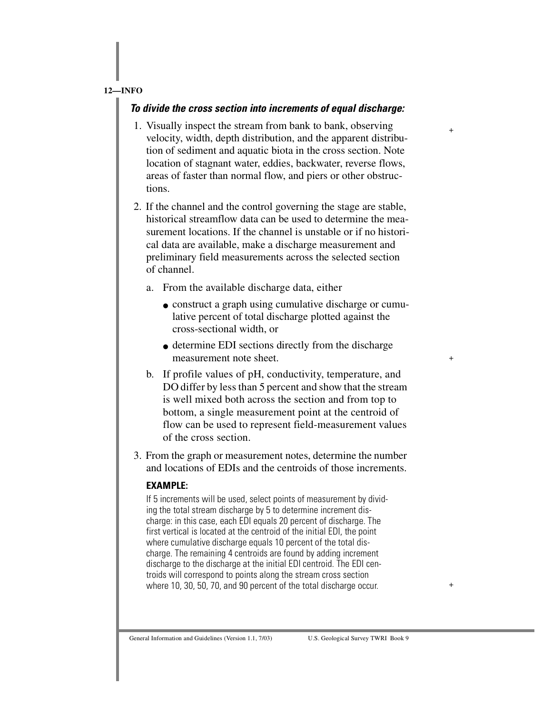#### *To divide the cross section into increments of equal discharge:*

1. Visually inspect the stream from bank to bank, observing velocity, width, depth distribution, and the apparent distribution of sediment and aquatic biota in the cross section. Note location of stagnant water, eddies, backwater, reverse flows, areas of faster than normal flow, and piers or other obstructions.

+

+

+

- 2. If the channel and the control governing the stage are stable, historical streamflow data can be used to determine the measurement locations. If the channel is unstable or if no historical data are available, make a discharge measurement and preliminary field measurements across the selected section of channel.
	- a. From the available discharge data, either
		- construct a graph using cumulative discharge or cumulative percent of total discharge plotted against the cross-sectional width, or
		- determine EDI sections directly from the discharge measurement note sheet.
	- b. If profile values of pH, conductivity, temperature, and DO differ by less than 5 percent and show that the stream is well mixed both across the section and from top to bottom, a single measurement point at the centroid of flow can be used to represent field-measurement values of the cross section.
- 3. From the graph or measurement notes, determine the number and locations of EDIs and the centroids of those increments.

#### **EXAMPLE:**

If 5 increments will be used, select points of measurement by dividing the total stream discharge by 5 to determine increment discharge: in this case, each EDI equals 20 percent of discharge. The first vertical is located at the centroid of the initial EDI, the point where cumulative discharge equals 10 percent of the total discharge. The remaining 4 centroids are found by adding increment discharge to the discharge at the initial EDI centroid. The EDI centroids will correspond to points along the stream cross section where 10, 30, 50, 70, and 90 percent of the total discharge occur.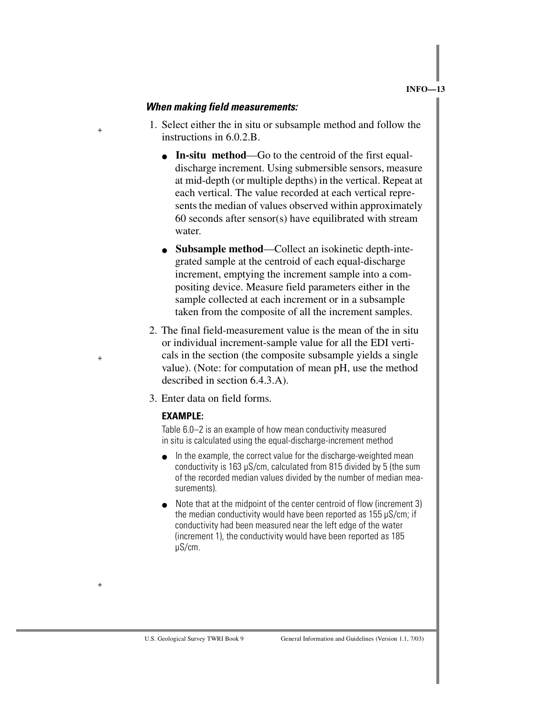#### *When making field measurements:*

+

+

+

- 1. Select either the in situ or subsample method and follow the instructions in 6.0.2.B.
	- **In-situ method**—Go to the centroid of the first equaldischarge increment. Using submersible sensors, measure at mid-depth (or multiple depths) in the vertical. Repeat at each vertical. The value recorded at each vertical represents the median of values observed within approximately 60 seconds after sensor(s) have equilibrated with stream water.
	- **Subsample method—Collect an isokinetic depth-inte**grated sample at the centroid of each equal-discharge increment, emptying the increment sample into a compositing device. Measure field parameters either in the sample collected at each increment or in a subsample taken from the composite of all the increment samples.
- 2. The final field-measurement value is the mean of the in situ or individual increment-sample value for all the EDI verticals in the section (the composite subsample yields a single value). (Note: for computation of mean pH, use the method described in section 6.4.3.A).
- 3. Enter data on field forms.

#### **EXAMPLE:**

Table 6.0–2 is an example of how mean conductivity measured in situ is calculated using the equal-discharge-increment method

- In the example, the correct value for the discharge-weighted mean conductivity is 163 µS/cm, calculated from 815 divided by 5 (the sum of the recorded median values divided by the number of median measurements).
- Note that at the midpoint of the center centroid of flow (increment 3) the median conductivity would have been reported as 155 µS/cm; if conductivity had been measured near the left edge of the water (increment 1), the conductivity would have been reported as 185 µS/cm.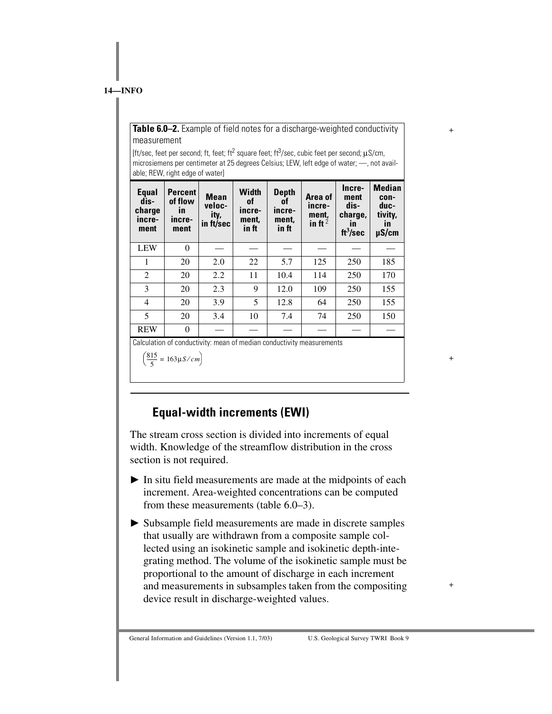**Table 6.0–2.** Example of field notes for a discharge-weighted conductivity measurement

+

+

+

[ft/sec, feet per second; ft, feet; ft<sup>2</sup> square feet; ft<sup>3</sup>/sec, cubic feet per second;  $\mu$ S/cm, microsiemens per centimeter at 25 degrees Celsius; LEW, left edge of water; —, not available; REW, right edge of water]

| Equal<br>dis-<br>charge<br>incre-<br>ment | <b>Percent</b><br>of flow<br>$\mathbf{m}$<br>incre-<br>ment | <b>Mean</b><br>veloc-<br>ity,<br>in ft/sec | Width<br>0f<br>incre-<br>ment,<br>in ft | <b>Depth</b><br>0f<br>incre-<br>ment,<br>in ft | Area of<br>incre-<br>ment,<br>in ft <sup>2</sup> | Incre-<br>ment<br>dis-<br>charge,<br>$\mathbf{m}$<br>ft <sup>3</sup> /sec | <b>Median</b><br>con-<br>duc-<br>tivity,<br><i>in</i><br>$\mu$ S/cm |
|-------------------------------------------|-------------------------------------------------------------|--------------------------------------------|-----------------------------------------|------------------------------------------------|--------------------------------------------------|---------------------------------------------------------------------------|---------------------------------------------------------------------|
| <b>LEW</b>                                | $\theta$                                                    |                                            |                                         |                                                |                                                  |                                                                           |                                                                     |
| 1                                         | 20                                                          | 2.0                                        | 22                                      | 5.7                                            | 125                                              | 250                                                                       | 185                                                                 |
| 2                                         | 20                                                          | 2.2                                        | 11                                      | 10.4                                           | 114                                              | 250                                                                       | 170                                                                 |
| 3                                         | 20                                                          | 2.3                                        | 9                                       | 12.0                                           | 109                                              | 250                                                                       | 155                                                                 |
| 4                                         | 20                                                          | 3.9                                        | 5                                       | 12.8                                           | 64                                               | 250                                                                       | 155                                                                 |
| 5                                         | 20                                                          | 3.4                                        | 10                                      | 7.4                                            | 74                                               | 250                                                                       | 150                                                                 |
| <b>REW</b>                                | $\theta$                                                    |                                            |                                         |                                                |                                                  |                                                                           |                                                                     |

Calculation of conductivity: mean of median conductivity measurements

815  $\left(\frac{613}{5} = 163 \mu\frac{S}{cm}\right)$ 

# **Equal-width increments (EWI)**

The stream cross section is divided into increments of equal width. Knowledge of the streamflow distribution in the cross section is not required.

- $\blacktriangleright$  In situ field measurements are made at the midpoints of each increment. Area-weighted concentrations can be computed from these measurements (table 6.0–3).
- Subsample field measurements are made in discrete samples that usually are withdrawn from a composite sample collected using an isokinetic sample and isokinetic depth-integrating method. The volume of the isokinetic sample must be proportional to the amount of discharge in each increment and measurements in subsamples taken from the compositing device result in discharge-weighted values.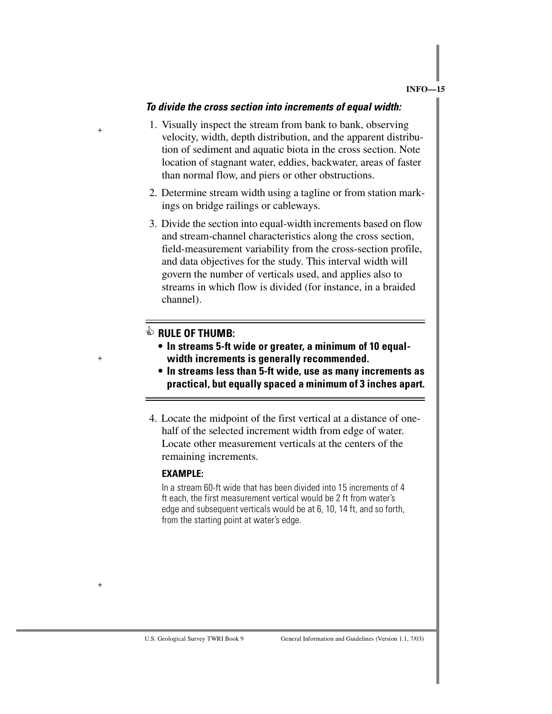#### *To divide the cross section into increments of equal width:*

- 1. Visually inspect the stream from bank to bank, observing velocity, width, depth distribution, and the apparent distribution of sediment and aquatic biota in the cross section. Note location of stagnant water, eddies, backwater, areas of faster than normal flow, and piers or other obstructions.
- 2. Determine stream width using a tagline or from station markings on bridge railings or cableways.
- 3. Divide the section into equal-width increments based on flow and stream-channel characteristics along the cross section, field-measurement variability from the cross-section profile, and data objectives for the study. This interval width will govern the number of verticals used, and applies also to streams in which flow is divided (for instance, in a braided channel).

+

+

+

- **RULE OF THUMB: In streams 5-ft wide or greater, a minimum of 10 equalwidth increments is generally recommended.**
	- **In streams less than 5-ft wide, use as many increments as practical, but equally spaced a minimum of 3 inches apart.**
- 4. Locate the midpoint of the first vertical at a distance of onehalf of the selected increment width from edge of water. Locate other measurement verticals at the centers of the remaining increments.

#### **EXAMPLE:**

In a stream 60-ft wide that has been divided into 15 increments of 4 ft each, the first measurement vertical would be 2 ft from water's edge and subsequent verticals would be at 6, 10, 14 ft, and so forth, from the starting point at water's edge.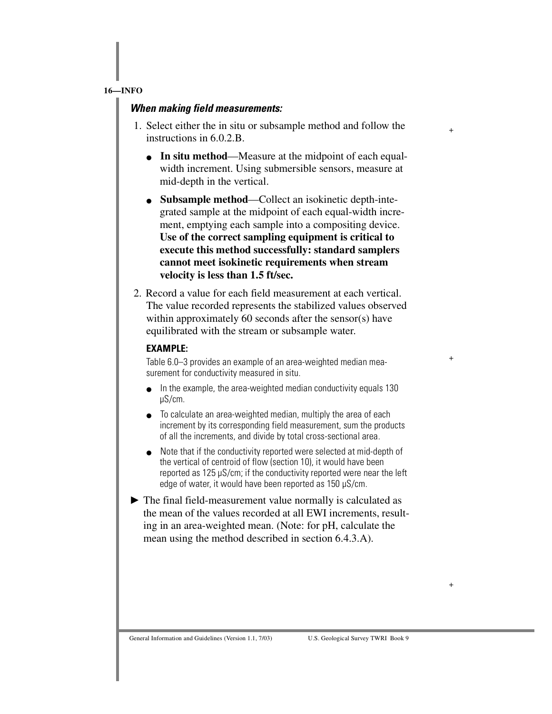#### *When making field measurements:*

1. Select either the in situ or subsample method and follow the instructions in 6.0.2.B.

+

+

+

- **In situ method**—Measure at the midpoint of each equalwidth increment. Using submersible sensors, measure at mid-depth in the vertical.
- **Subsample method**—Collect an isokinetic depth-integrated sample at the midpoint of each equal-width increment, emptying each sample into a compositing device. **Use of the correct sampling equipment is critical to execute this method successfully: standard samplers cannot meet isokinetic requirements when stream velocity is less than 1.5 ft/sec.**
- 2. Record a value for each field measurement at each vertical. The value recorded represents the stabilized values observed within approximately 60 seconds after the sensor(s) have equilibrated with the stream or subsample water.

#### **EXAMPLE:**

Table 6.0–3 provides an example of an area-weighted median measurement for conductivity measured in situ.

- $\bullet$  In the example, the area-weighted median conductivity equals 130 µS/cm.
- To calculate an area-weighted median, multiply the area of each increment by its corresponding field measurement, sum the products of all the increments, and divide by total cross-sectional area.
- Note that if the conductivity reported were selected at mid-depth of the vertical of centroid of flow (section 10), it would have been reported as 125 µS/cm; if the conductivity reported were near the left edge of water, it would have been reported as 150 µS/cm.
- The final field-measurement value normally is calculated as the mean of the values recorded at all EWI increments, resulting in an area-weighted mean. (Note: for pH, calculate the mean using the method described in section 6.4.3.A).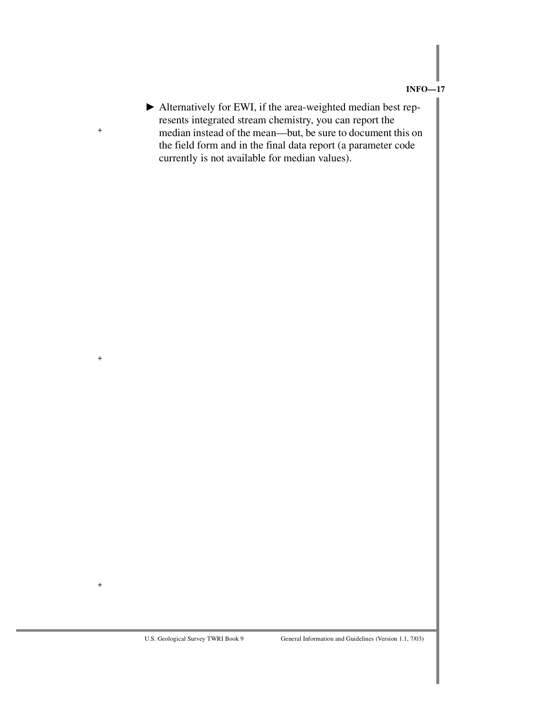Alternatively for EWI, if the area-weighted median best represents integrated stream chemistry, you can report the median instead of the mean—but, be sure to document this on the field form and in the final data report (a parameter code currently is not available for median values).

+

+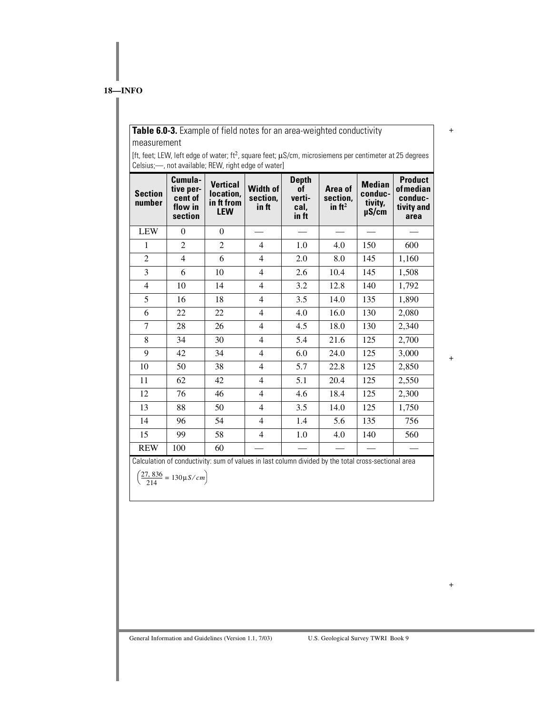#### **Table 6.0-3.** Example of field notes for an area-weighted conductivity measurement

[ft, feet; LEW, left edge of water; ft2, square feet; µS/cm, microsiemens per centimeter at 25 degrees Celsius;—, not available; REW, right edge of water]

| <b>Section</b><br>number | Cumula-<br>tive per-<br>cent of<br>flow in<br>section | <b>Vertical</b><br>location,<br>in ft from<br><b>LEW</b>                                            | <b>Width of</b><br>section,<br>in ft | <b>Depth</b><br>of<br>verti-<br>cal,<br>in ft | Area of<br>section,<br>in $ft^2$ | <b>Median</b><br>conduc-<br>tivity,<br>$\mu$ S/cm | <b>Product</b><br><b>of</b> median<br>conduc-<br>tivity and<br>area |
|--------------------------|-------------------------------------------------------|-----------------------------------------------------------------------------------------------------|--------------------------------------|-----------------------------------------------|----------------------------------|---------------------------------------------------|---------------------------------------------------------------------|
| <b>LEW</b>               | $\boldsymbol{0}$                                      | $\boldsymbol{0}$                                                                                    |                                      |                                               |                                  |                                                   |                                                                     |
| $\mathbf{1}$             | $\overline{c}$                                        | $\overline{c}$                                                                                      | $\overline{4}$                       | 1.0                                           | 4.0                              | 150                                               | 600                                                                 |
| $\overline{2}$           | 4                                                     | 6                                                                                                   | $\overline{4}$                       | 2.0                                           | 8.0                              | 145                                               | 1,160                                                               |
| 3                        | 6                                                     | 10                                                                                                  | 4                                    | 2.6                                           | 10.4                             | 145                                               | 1,508                                                               |
| $\overline{\mathcal{L}}$ | 10                                                    | 14                                                                                                  | $\overline{4}$                       | 3.2                                           | 12.8                             | 140                                               | 1,792                                                               |
| 5                        | 16                                                    | 18                                                                                                  | $\overline{4}$                       | 3.5                                           | 14.0                             | 135                                               | 1,890                                                               |
| 6                        | 22                                                    | 22                                                                                                  | $\overline{4}$                       | 4.0                                           | 16.0                             | 130                                               | 2,080                                                               |
| $\overline{7}$           | 28                                                    | 26                                                                                                  | $\overline{4}$                       | 4.5                                           | 18.0                             | 130                                               | 2,340                                                               |
| 8                        | 34                                                    | 30                                                                                                  | $\overline{4}$                       | 5.4                                           | 21.6                             | 125                                               | 2,700                                                               |
| 9                        | 42                                                    | 34                                                                                                  | $\overline{4}$                       | 6.0                                           | 24.0                             | 125                                               | 3,000                                                               |
| 10                       | 50                                                    | 38                                                                                                  | $\overline{4}$                       | 5.7                                           | 22.8                             | 125                                               | 2,850                                                               |
| 11                       | 62                                                    | 42                                                                                                  | $\overline{4}$                       | 5.1                                           | 20.4                             | 125                                               | 2,550                                                               |
| 12                       | 76                                                    | 46                                                                                                  | $\overline{4}$                       | 4.6                                           | 18.4                             | 125                                               | 2,300                                                               |
| 13                       | 88                                                    | 50                                                                                                  | $\overline{4}$                       | 3.5                                           | 14.0                             | 125                                               | 1,750                                                               |
| 14                       | 96                                                    | 54                                                                                                  | $\overline{4}$                       | 1.4                                           | 5.6                              | 135                                               | 756                                                                 |
| 15                       | 99                                                    | 58                                                                                                  | $\overline{4}$                       | 1.0                                           | 4.0                              | 140                                               | 560                                                                 |
| <b>REW</b>               | 100                                                   | 60                                                                                                  |                                      |                                               |                                  |                                                   |                                                                     |
|                          | $(27, 836 - 120)$                                     | Calculation of conductivity: sum of values in last column divided by the total cross-sectional area |                                      |                                               |                                  |                                                   |                                                                     |

 $\left(\frac{27,836}{214} = 130 \mu S/cm\right)$ 

+

+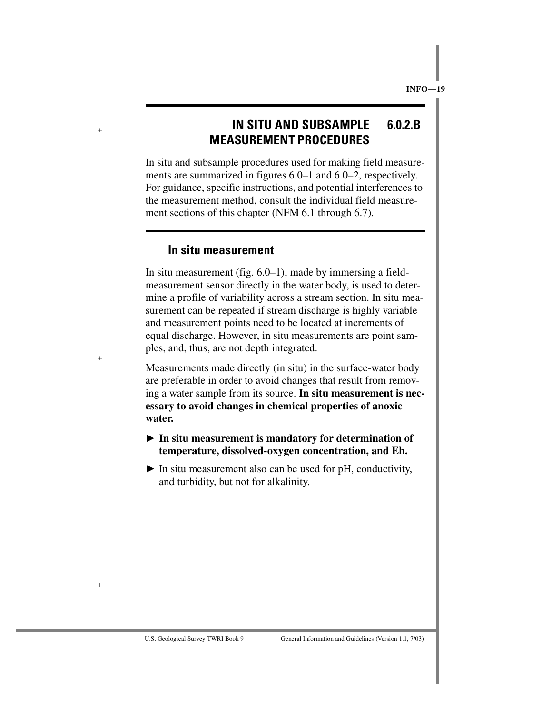# **IN SITU AND SUBSAMPLE 6.0.2.B MEASUREMENT PROCEDURES**

In situ and subsample procedures used for making field measurements are summarized in figures 6.0–1 and 6.0–2, respectively. For guidance, specific instructions, and potential interferences to the measurement method, consult the individual field measurement sections of this chapter (NFM 6.1 through 6.7).

#### **In situ measurement**

In situ measurement (fig. 6.0–1), made by immersing a fieldmeasurement sensor directly in the water body, is used to determine a profile of variability across a stream section. In situ measurement can be repeated if stream discharge is highly variable and measurement points need to be located at increments of equal discharge. However, in situ measurements are point samples, and, thus, are not depth integrated.

Measurements made directly (in situ) in the surface-water body are preferable in order to avoid changes that result from removing a water sample from its source. **In situ measurement is necessary to avoid changes in chemical properties of anoxic water.**

- **In situ measurement is mandatory for determination of temperature, dissolved-oxygen concentration, and Eh.**
- $\blacktriangleright$  In situ measurement also can be used for pH, conductivity, and turbidity, but not for alkalinity.

+

+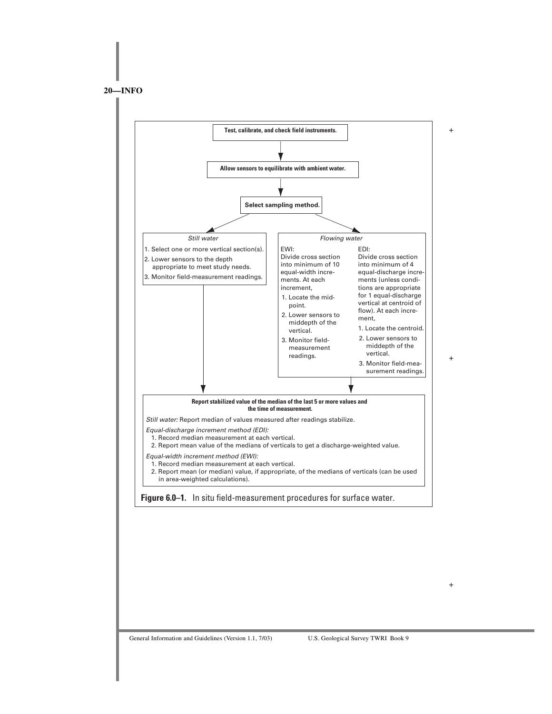**20—INFO**

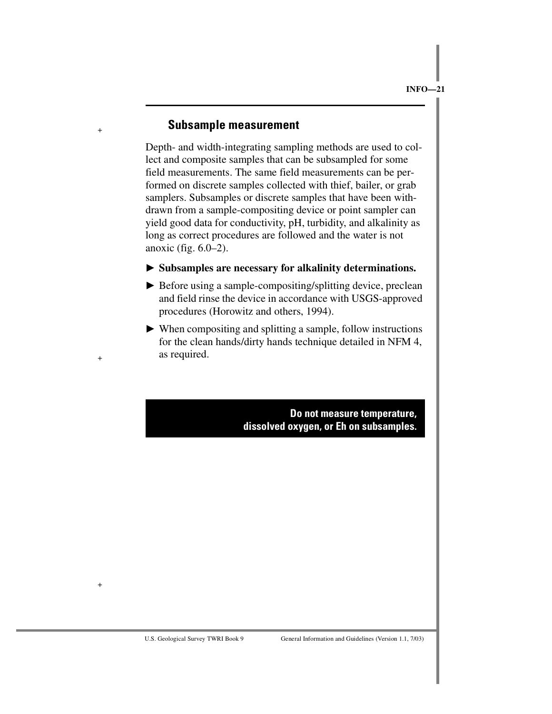#### **Subsample measurement**

+

+

+

Depth- and width-integrating sampling methods are used to collect and composite samples that can be subsampled for some field measurements. The same field measurements can be performed on discrete samples collected with thief, bailer, or grab samplers. Subsamples or discrete samples that have been withdrawn from a sample-compositing device or point sampler can yield good data for conductivity, pH, turbidity, and alkalinity as long as correct procedures are followed and the water is not anoxic (fig. 6.0–2).

#### **Subsamples are necessary for alkalinity determinations.**

- ▶ Before using a sample-compositing/splitting device, preclean and field rinse the device in accordance with USGS-approved procedures (Horowitz and others, 1994).
- When compositing and splitting a sample, follow instructions for the clean hands/dirty hands technique detailed in NFM 4, as required.

**Do not measure temperature, dissolved oxygen, or Eh on subsamples.**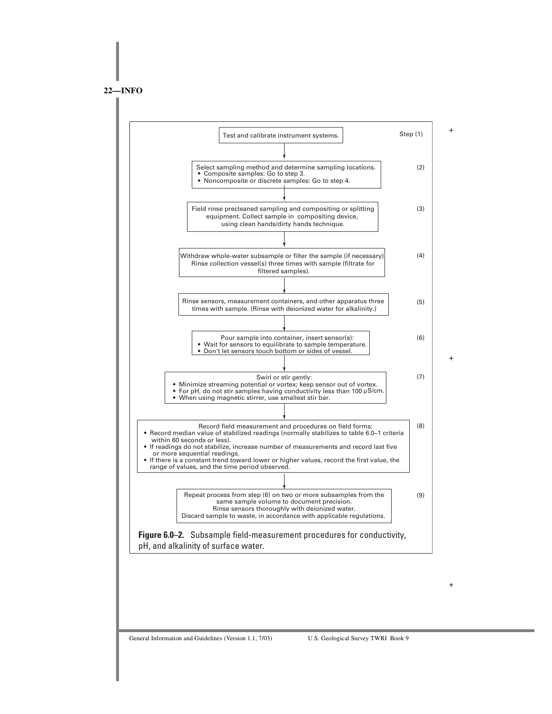**22—INFO**



General Information and Guidelines (Version 1.1, 7/03) U.S. Geological Survey TWRI Book 9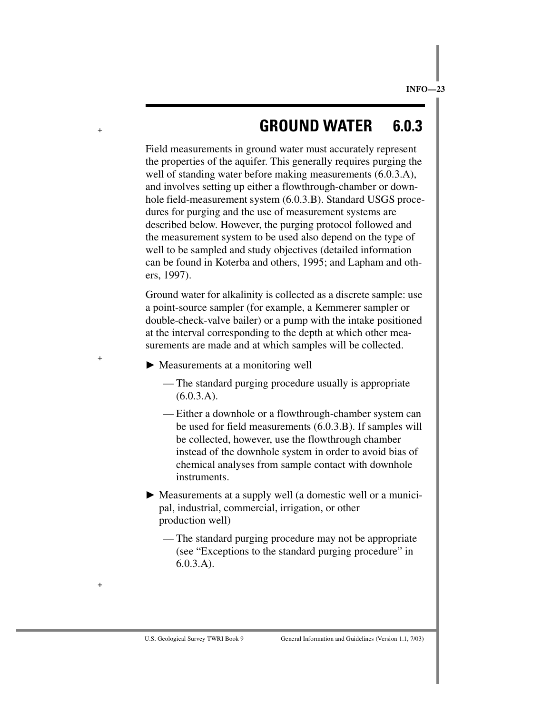# **GROUND WATER 6.0.3**

Field measurements in ground water must accurately represent the properties of the aquifer. This generally requires purging the well of standing water before making measurements  $(6.0.3.A)$ , and involves setting up either a flowthrough-chamber or downhole field-measurement system (6.0.3.B). Standard USGS procedures for purging and the use of measurement systems are described below. However, the purging protocol followed and the measurement system to be used also depend on the type of well to be sampled and study objectives (detailed information can be found in Koterba and others, 1995; and Lapham and others, 1997).

Ground water for alkalinity is collected as a discrete sample: use a point-source sampler (for example, a Kemmerer sampler or double-check-valve bailer) or a pump with the intake positioned at the interval corresponding to the depth at which other measurements are made and at which samples will be collected.

Measurements at a monitoring well

+

+

- The standard purging procedure usually is appropriate (6.0.3.A).
- Either a downhole or a flowthrough-chamber system can be used for field measurements (6.0.3.B). If samples will be collected, however, use the flowthrough chamber instead of the downhole system in order to avoid bias of chemical analyses from sample contact with downhole instruments.
- Measurements at a supply well (a domestic well or a municipal, industrial, commercial, irrigation, or other production well)
	- The standard purging procedure may not be appropriate (see "Exceptions to the standard purging procedure" in 6.0.3.A).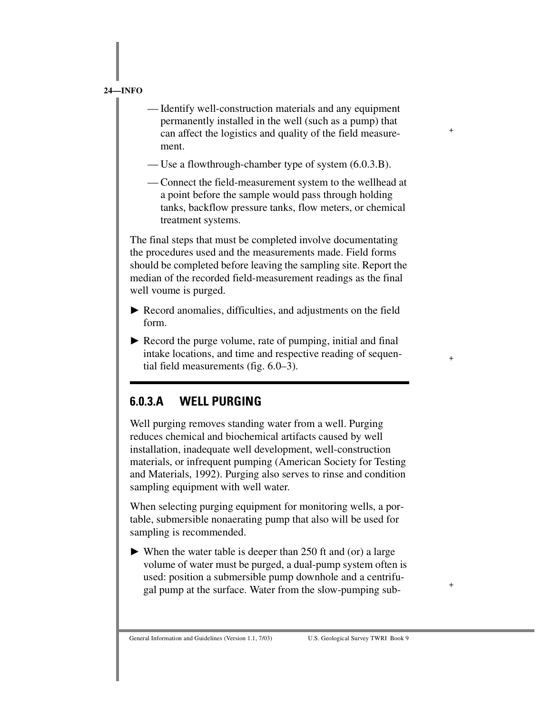— Identify well-construction materials and any equipment permanently installed in the well (such as a pump) that can affect the logistics and quality of the field measurement.

+

+

+

- Use a flowthrough-chamber type of system (6.0.3.B).
- Connect the field-measurement system to the wellhead at a point before the sample would pass through holding tanks, backflow pressure tanks, flow meters, or chemical treatment systems.

The final steps that must be completed involve documentating the procedures used and the measurements made. Field forms should be completed before leaving the sampling site. Report the median of the recorded field-measurement readings as the final well voume is purged.

- Record anomalies, difficulties, and adjustments on the field form.
- Record the purge volume, rate of pumping, initial and final intake locations, and time and respective reading of sequential field measurements (fig. 6.0–3).

# **6.0.3.A WELL PURGING**

Well purging removes standing water from a well. Purging reduces chemical and biochemical artifacts caused by well installation, inadequate well development, well-construction materials, or infrequent pumping (American Society for Testing and Materials, 1992). Purging also serves to rinse and condition sampling equipment with well water.

When selecting purging equipment for monitoring wells, a portable, submersible nonaerating pump that also will be used for sampling is recommended.

 When the water table is deeper than 250 ft and (or) a large volume of water must be purged, a dual-pump system often is used: position a submersible pump downhole and a centrifugal pump at the surface. Water from the slow-pumping sub-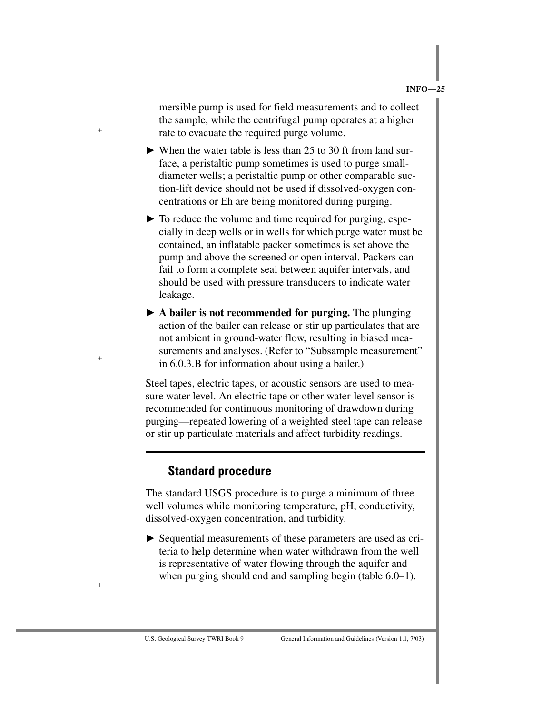mersible pump is used for field measurements and to collect the sample, while the centrifugal pump operates at a higher rate to evacuate the required purge volume.

- When the water table is less than 25 to 30 ft from land surface, a peristaltic pump sometimes is used to purge smalldiameter wells; a peristaltic pump or other comparable suction-lift device should not be used if dissolved-oxygen concentrations or Eh are being monitored during purging.
- $\triangleright$  To reduce the volume and time required for purging, especially in deep wells or in wells for which purge water must be contained, an inflatable packer sometimes is set above the pump and above the screened or open interval. Packers can fail to form a complete seal between aquifer intervals, and should be used with pressure transducers to indicate water leakage.
- **A bailer is not recommended for purging.** The plunging action of the bailer can release or stir up particulates that are not ambient in ground-water flow, resulting in biased measurements and analyses. (Refer to "Subsample measurement" in 6.0.3.B for information about using a bailer.)

Steel tapes, electric tapes, or acoustic sensors are used to measure water level. An electric tape or other water-level sensor is recommended for continuous monitoring of drawdown during purging—repeated lowering of a weighted steel tape can release or stir up particulate materials and affect turbidity readings.

### **Standard procedure**

+

+

+

The standard USGS procedure is to purge a minimum of three well volumes while monitoring temperature, pH, conductivity, dissolved-oxygen concentration, and turbidity.

 Sequential measurements of these parameters are used as criteria to help determine when water withdrawn from the well is representative of water flowing through the aquifer and when purging should end and sampling begin (table 6.0–1).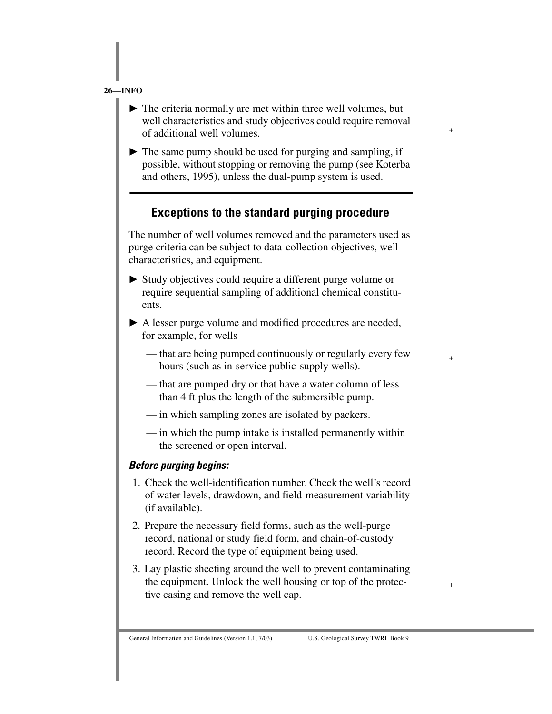The criteria normally are met within three well volumes, but well characteristics and study objectives could require removal of additional well volumes.

+

+

+

 $\blacktriangleright$  The same pump should be used for purging and sampling, if possible, without stopping or removing the pump (see Koterba and others, 1995), unless the dual-pump system is used.

## **Exceptions to the standard purging procedure**

The number of well volumes removed and the parameters used as purge criteria can be subject to data-collection objectives, well characteristics, and equipment.

- Study objectives could require a different purge volume or require sequential sampling of additional chemical constituents.
- A lesser purge volume and modified procedures are needed, for example, for wells
	- that are being pumped continuously or regularly every few hours (such as in-service public-supply wells).
	- that are pumped dry or that have a water column of less than 4 ft plus the length of the submersible pump.
	- in which sampling zones are isolated by packers.
	- in which the pump intake is installed permanently within the screened or open interval.

#### *Before purging begins:*

- 1. Check the well-identification number. Check the well's record of water levels, drawdown, and field-measurement variability (if available).
- 2. Prepare the necessary field forms, such as the well-purge record, national or study field form, and chain-of-custody record. Record the type of equipment being used.
- 3. Lay plastic sheeting around the well to prevent contaminating the equipment. Unlock the well housing or top of the protective casing and remove the well cap.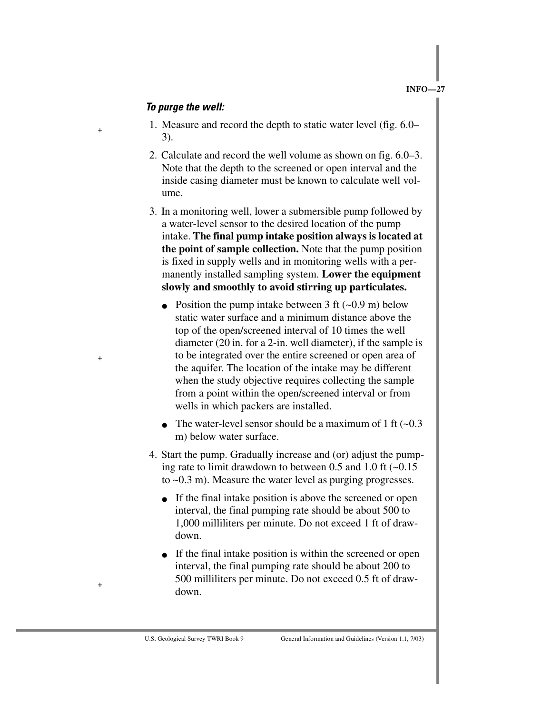#### *To purge the well:*

+

+

- 1. Measure and record the depth to static water level (fig. 6.0– 3).
- 2. Calculate and record the well volume as shown on fig. 6.0–3. Note that the depth to the screened or open interval and the inside casing diameter must be known to calculate well volume.
- 3. In a monitoring well, lower a submersible pump followed by a water-level sensor to the desired location of the pump intake. **The final pump intake position always is located at the point of sample collection.** Note that the pump position is fixed in supply wells and in monitoring wells with a permanently installed sampling system. **Lower the equipment slowly and smoothly to avoid stirring up particulates.**
	- Position the pump intake between 3 ft  $(-0.9 \text{ m})$  below static water surface and a minimum distance above the top of the open/screened interval of 10 times the well diameter (20 in. for a 2-in. well diameter), if the sample is to be integrated over the entire screened or open area of the aquifer. The location of the intake may be different when the study objective requires collecting the sample from a point within the open/screened interval or from wells in which packers are installed.
	- The water-level sensor should be a maximum of 1 ft  $(-0.3)$ m) below water surface.
- 4. Start the pump. Gradually increase and (or) adjust the pumping rate to limit drawdown to between 0.5 and 1.0 ft  $(-0.15$ to ~0.3 m). Measure the water level as purging progresses.
	- If the final intake position is above the screened or open interval, the final pumping rate should be about 500 to 1,000 milliliters per minute. Do not exceed 1 ft of drawdown.
	- If the final intake position is within the screened or open interval, the final pumping rate should be about 200 to 500 milliliters per minute. Do not exceed 0.5 ft of drawdown.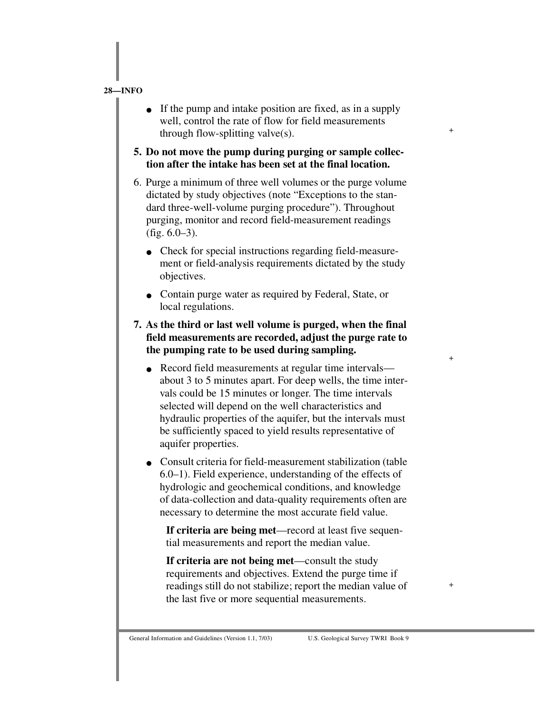• If the pump and intake position are fixed, as in a supply well, control the rate of flow for field measurements through flow-splitting valve(s).

+

+

+

- **5. Do not move the pump during purging or sample collection after the intake has been set at the final location.**
- 6. Purge a minimum of three well volumes or the purge volume dictated by study objectives (note "Exceptions to the standard three-well-volume purging procedure"). Throughout purging, monitor and record field-measurement readings (fig. 6.0–3).
	- Check for special instructions regarding field-measurement or field-analysis requirements dictated by the study objectives.
	- Contain purge water as required by Federal, State, or local regulations.
- **7. As the third or last well volume is purged, when the final field measurements are recorded, adjust the purge rate to the pumping rate to be used during sampling.**
	- Record field measurements at regular time intervals about 3 to 5 minutes apart. For deep wells, the time intervals could be 15 minutes or longer. The time intervals selected will depend on the well characteristics and hydraulic properties of the aquifer, but the intervals must be sufficiently spaced to yield results representative of aquifer properties.
	- Consult criteria for field-measurement stabilization (table 6.0–1). Field experience, understanding of the effects of hydrologic and geochemical conditions, and knowledge of data-collection and data-quality requirements often are necessary to determine the most accurate field value.

**If criteria are being met**—record at least five sequential measurements and report the median value.

**If criteria are not being met**—consult the study requirements and objectives. Extend the purge time if readings still do not stabilize; report the median value of the last five or more sequential measurements.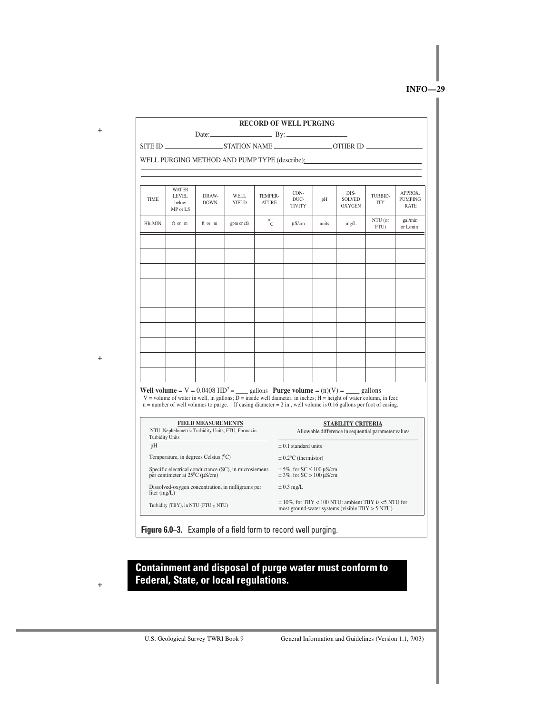+

|                                                                                                          |                                                    |                      |                                                   |                         | Date: $\qquad \qquad \qquad \qquad By:$                                                                                                                                                                                                                                                                                                                   | <b>RECORD OF WELL PURGING</b> |                                        |                       |                                          |  |  |  |
|----------------------------------------------------------------------------------------------------------|----------------------------------------------------|----------------------|---------------------------------------------------|-------------------------|-----------------------------------------------------------------------------------------------------------------------------------------------------------------------------------------------------------------------------------------------------------------------------------------------------------------------------------------------------------|-------------------------------|----------------------------------------|-----------------------|------------------------------------------|--|--|--|
|                                                                                                          |                                                    |                      |                                                   |                         |                                                                                                                                                                                                                                                                                                                                                           |                               |                                        |                       |                                          |  |  |  |
|                                                                                                          | WELL PURGING METHOD AND PUMP TYPE (describe):      |                      |                                                   |                         |                                                                                                                                                                                                                                                                                                                                                           |                               |                                        |                       |                                          |  |  |  |
|                                                                                                          |                                                    |                      |                                                   |                         |                                                                                                                                                                                                                                                                                                                                                           |                               |                                        |                       |                                          |  |  |  |
| <b>TIME</b>                                                                                              | <b>WATER</b><br><b>LEVEL</b><br>helow:<br>MP or LS | DRAW-<br><b>DOWN</b> | WELL<br>YIELD                                     | TEMPER-<br><b>ATURE</b> | CON-<br>DUC-<br><b>TIVITY</b>                                                                                                                                                                                                                                                                                                                             | pH                            | DIS-<br><b>SOLVED</b><br><b>OXYGEN</b> | TURBID-<br><b>ITY</b> | APPROX.<br><b>PUMPING</b><br><b>RATE</b> |  |  |  |
| HR:MIN                                                                                                   | ft or m                                            | ft or m              | gpm or cfs                                        | $^{0}C$                 | µS/cm                                                                                                                                                                                                                                                                                                                                                     | units                         | mg/L                                   | NTU (or<br>FTU)       | gal/min<br>or L/min                      |  |  |  |
|                                                                                                          |                                                    |                      |                                                   |                         |                                                                                                                                                                                                                                                                                                                                                           |                               |                                        |                       |                                          |  |  |  |
|                                                                                                          |                                                    |                      |                                                   |                         |                                                                                                                                                                                                                                                                                                                                                           |                               |                                        |                       |                                          |  |  |  |
|                                                                                                          |                                                    |                      |                                                   |                         |                                                                                                                                                                                                                                                                                                                                                           |                               |                                        |                       |                                          |  |  |  |
|                                                                                                          |                                                    |                      |                                                   |                         |                                                                                                                                                                                                                                                                                                                                                           |                               |                                        |                       |                                          |  |  |  |
|                                                                                                          |                                                    |                      |                                                   |                         |                                                                                                                                                                                                                                                                                                                                                           |                               |                                        |                       |                                          |  |  |  |
|                                                                                                          |                                                    |                      |                                                   |                         |                                                                                                                                                                                                                                                                                                                                                           |                               |                                        |                       |                                          |  |  |  |
|                                                                                                          |                                                    |                      |                                                   |                         |                                                                                                                                                                                                                                                                                                                                                           |                               |                                        |                       |                                          |  |  |  |
|                                                                                                          |                                                    |                      |                                                   |                         | Well volume = $V = 0.0408$ HD <sup>2</sup> = ____ gallons Purge volume = $(n)(V)$ = ____ gallons<br>V = volume of water in well, in gallons; $\overline{D}$ = inside well diameter, in inches; H = height of water column, in feet;<br>$n =$ number of well volumes to purge. If casing diameter = 2 in., well volume is 0.16 gallons per foot of casing. |                               |                                        |                       |                                          |  |  |  |
| <b>FIELD MEASUREMENTS</b><br>NTU, Nephelometric Turbidity Units; FTU, Formazin<br><b>Turbidity Units</b> |                                                    |                      |                                                   |                         | STABILITY CRITERIA<br>Allowable difference in sequential parameter values                                                                                                                                                                                                                                                                                 |                               |                                        |                       |                                          |  |  |  |
| pH                                                                                                       |                                                    |                      |                                                   |                         | $\pm$ 0.1 standard units                                                                                                                                                                                                                                                                                                                                  |                               |                                        |                       |                                          |  |  |  |
| Temperature, in degrees Celsius (°C)                                                                     |                                                    |                      |                                                   |                         | $\pm$ 0.2°C (thermistor)                                                                                                                                                                                                                                                                                                                                  |                               |                                        |                       |                                          |  |  |  |
| Specific electrical conductance (SC), in microsiemens<br>per centimeter at $25^{\circ}$ C ( $\mu$ S/cm)  |                                                    |                      |                                                   |                         | $\pm$ 5%, for SC $\leq$ 100 µS/cm<br>$\pm$ 3%, for SC > 100 µS/cm                                                                                                                                                                                                                                                                                         |                               |                                        |                       |                                          |  |  |  |
| liter $(mg/L)$                                                                                           |                                                    |                      | Dissolved-oxygen concentration, in milligrams per |                         | $\pm$ 0.3 mg/L                                                                                                                                                                                                                                                                                                                                            |                               |                                        |                       |                                          |  |  |  |
| Turbidity (TBY), in NTU (FTU $\simeq$ NTU)                                                               |                                                    |                      |                                                   |                         | $\pm$ 10%, for TBY < 100 NTU: ambient TBY is <5 NTU for<br>most ground-water systems (visible $TBY > 5 NTU$ )                                                                                                                                                                                                                                             |                               |                                        |                       |                                          |  |  |  |
| Figure 6.0-3. Example of a field form to record well purging.                                            |                                                    |                      |                                                   |                         |                                                                                                                                                                                                                                                                                                                                                           |                               |                                        |                       |                                          |  |  |  |

**Containment and disposal of purge water must conform to** 

 $+$ 

**Federal, State, or local regulations.**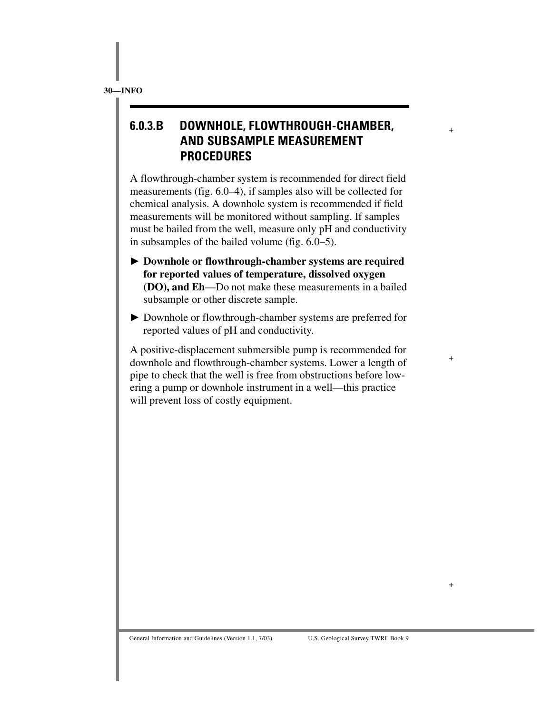# **6.0.3.B DOWNHOLE, FLOWTHROUGH-CHAMBER, AND SUBSAMPLE MEASUREMENT PROCEDURES**

+

+

+

A flowthrough-chamber system is recommended for direct field measurements (fig. 6.0–4), if samples also will be collected for chemical analysis. A downhole system is recommended if field measurements will be monitored without sampling. If samples must be bailed from the well, measure only pH and conductivity in subsamples of the bailed volume (fig. 6.0–5).

- **Downhole or flowthrough-chamber systems are required for reported values of temperature, dissolved oxygen (DO), and Eh**—Do not make these measurements in a bailed subsample or other discrete sample.
- Downhole or flowthrough-chamber systems are preferred for reported values of pH and conductivity.

A positive-displacement submersible pump is recommended for downhole and flowthrough-chamber systems. Lower a length of pipe to check that the well is free from obstructions before lowering a pump or downhole instrument in a well—this practice will prevent loss of costly equipment.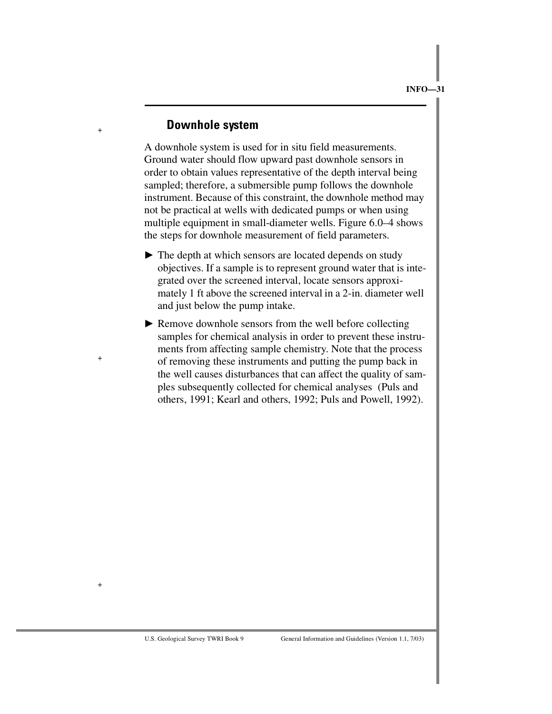#### **Downhole system**

+

+

+

A downhole system is used for in situ field measurements. Ground water should flow upward past downhole sensors in order to obtain values representative of the depth interval being sampled; therefore, a submersible pump follows the downhole instrument. Because of this constraint, the downhole method may not be practical at wells with dedicated pumps or when using multiple equipment in small-diameter wells. Figure 6.0–4 shows the steps for downhole measurement of field parameters.

- $\blacktriangleright$  The depth at which sensors are located depends on study objectives. If a sample is to represent ground water that is integrated over the screened interval, locate sensors approximately 1 ft above the screened interval in a 2-in. diameter well and just below the pump intake.
- Remove downhole sensors from the well before collecting samples for chemical analysis in order to prevent these instruments from affecting sample chemistry. Note that the process of removing these instruments and putting the pump back in the well causes disturbances that can affect the quality of samples subsequently collected for chemical analyses (Puls and others, 1991; Kearl and others, 1992; Puls and Powell, 1992).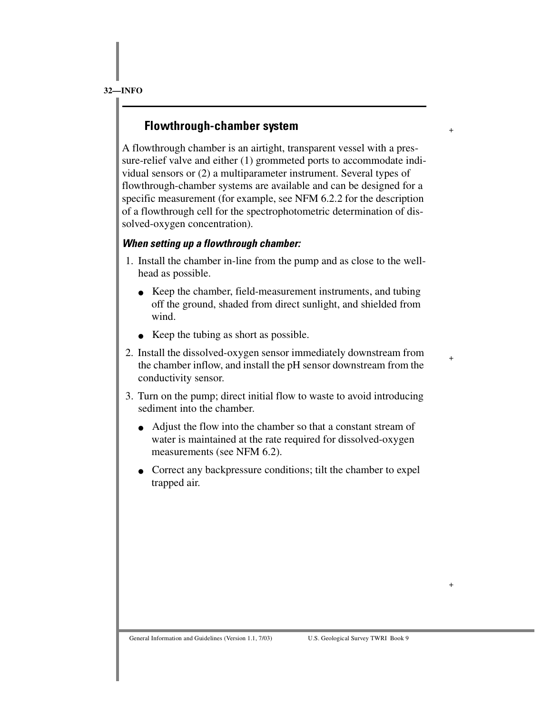# **Flowthrough-chamber system**

A flowthrough chamber is an airtight, transparent vessel with a pressure-relief valve and either (1) grommeted ports to accommodate individual sensors or (2) a multiparameter instrument. Several types of flowthrough-chamber systems are available and can be designed for a specific measurement (for example, see NFM 6.2.2 for the description of a flowthrough cell for the spectrophotometric determination of dissolved-oxygen concentration).

+

+

+

#### *When setting up a flowthrough chamber:*

- 1. Install the chamber in-line from the pump and as close to the wellhead as possible.
	- Keep the chamber, field-measurement instruments, and tubing off the ground, shaded from direct sunlight, and shielded from wind.
	- Keep the tubing as short as possible.
- 2. Install the dissolved-oxygen sensor immediately downstream from the chamber inflow, and install the pH sensor downstream from the conductivity sensor.
- 3. Turn on the pump; direct initial flow to waste to avoid introducing sediment into the chamber.
	- Adjust the flow into the chamber so that a constant stream of water is maintained at the rate required for dissolved-oxygen measurements (see NFM 6.2).
	- Correct any backpressure conditions; tilt the chamber to expel trapped air.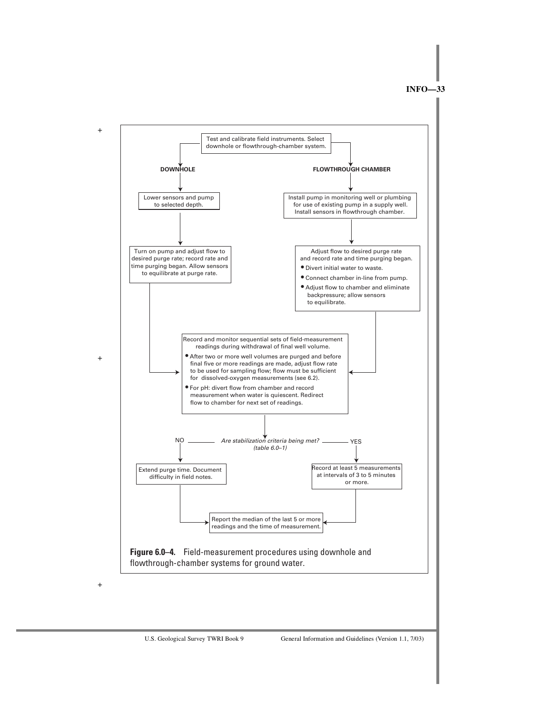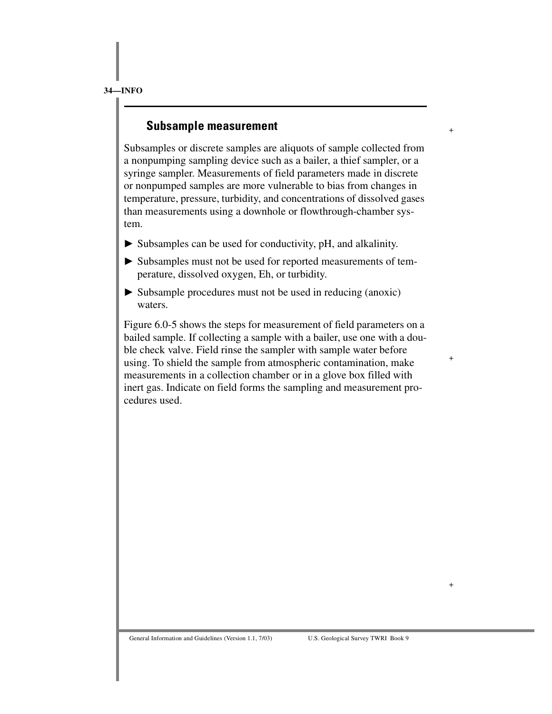### **Subsample measurement**

Subsamples or discrete samples are aliquots of sample collected from a nonpumping sampling device such as a bailer, a thief sampler, or a syringe sampler. Measurements of field parameters made in discrete or nonpumped samples are more vulnerable to bias from changes in temperature, pressure, turbidity, and concentrations of dissolved gases than measurements using a downhole or flowthrough-chamber system.

+

+

+

- Subsamples can be used for conductivity, pH, and alkalinity.
- Subsamples must not be used for reported measurements of temperature, dissolved oxygen, Eh, or turbidity.
- $\triangleright$  Subsample procedures must not be used in reducing (anoxic) waters.

Figure 6.0-5 shows the steps for measurement of field parameters on a bailed sample. If collecting a sample with a bailer, use one with a double check valve. Field rinse the sampler with sample water before using. To shield the sample from atmospheric contamination, make measurements in a collection chamber or in a glove box filled with inert gas. Indicate on field forms the sampling and measurement procedures used.